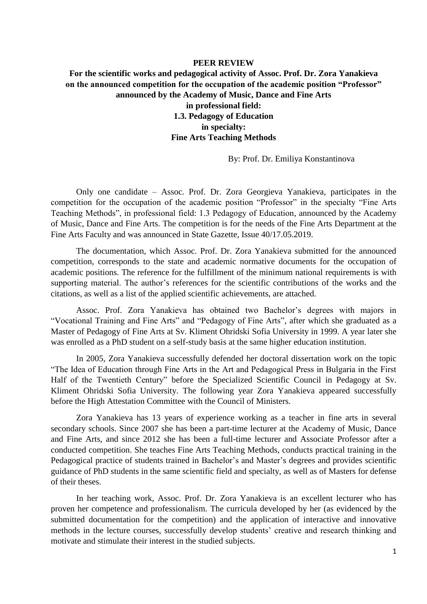## **PEER REVIEW**

## **For the scientific works and pedagogical activity of Assoc. Prof. Dr. Zora Yanakieva on the announced competition for the occupation of the academic position "Professor" announced by the Academy of Music, Dance and Fine Arts in professional field: 1.3. Pedagogy of Education in specialty: Fine Arts Teaching Methods**

By: Prof. Dr. Emiliya Konstantinova

Only one candidate – Assoc. Prof. Dr. Zora Georgieva Yanakieva, participates in the competition for the occupation of the academic position "Professor" in the specialty "Fine Arts Teaching Methods", in professional field: 1.3 Pedagogy of Education, announced by the Academy of Music, Dance and Fine Arts. The competition is for the needs of the Fine Arts Department at the Fine Arts Faculty and was announced in State Gazette, Issue 40/17.05.2019.

The documentation, which Assoc. Prof. Dr. Zora Yanakieva submitted for the announced competition, corresponds to the state and academic normative documents for the occupation of academic positions. The reference for the fulfillment of the minimum national requirements is with supporting material. The author's references for the scientific contributions of the works and the citations, as well as a list of the applied scientific achievements, are attached.

Assoc. Prof. Zora Yanakieva has obtained two Bachelor's degrees with majors in "Vocational Training and Fine Arts" and "Pedagogy of Fine Arts", after which she graduated as a Master of Pedagogy of Fine Arts at Sv. Kliment Ohridski Sofia University in 1999. A year later she was enrolled as a PhD student on a self-study basis at the same higher education institution.

In 2005, Zora Yanakieva successfully defended her doctoral dissertation work on the topic "The Idea of Education through Fine Arts in the Art and Pedagogical Press in Bulgaria in the First Half of the Twentieth Century" before the Specialized Scientific Council in Pedagogy at Sv. Kliment Ohridski Sofia University. The following year Zora Yanakieva appeared successfully before the High Attestation Committee with the Council of Ministers.

Zora Yanakieva has 13 years of experience working as a teacher in fine arts in several secondary schools. Since 2007 she has been a part-time lecturer at the Academy of Music, Dance and Fine Arts, and since 2012 she has been a full-time lecturer and Associate Professor after a conducted competition. She teaches Fine Arts Teaching Methods, conducts practical training in the Pedagogical practice of students trained in Bachelor's and Master's degrees and provides scientific guidance of PhD students in the same scientific field and specialty, as well as of Masters for defense of their theses.

In her teaching work, Assoc. Prof. Dr. Zora Yanakieva is an excellent lecturer who has proven her competence and professionalism. The curricula developed by her (as evidenced by the submitted documentation for the competition) and the application of interactive and innovative methods in the lecture courses, successfully develop students' creative and research thinking and motivate and stimulate their interest in the studied subjects.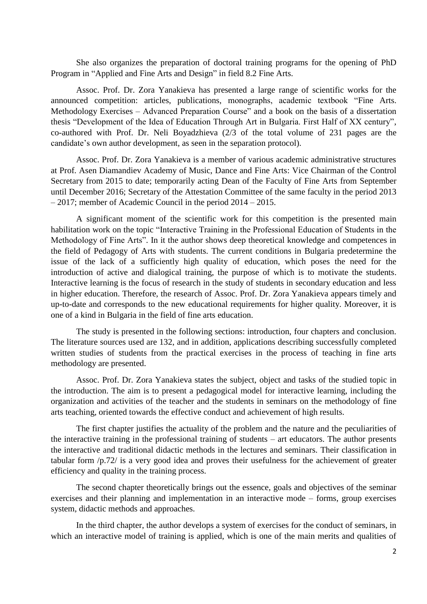She also organizes the preparation of doctoral training programs for the opening of PhD Program in "Applied and Fine Arts and Design" in field 8.2 Fine Arts.

Assoc. Prof. Dr. Zora Yanakieva has presented a large range of scientific works for the announced competition: articles, publications, monographs, academic textbook "Fine Arts. Methodology Exercises – Advanced Preparation Course" and a book on the basis of a dissertation thesis "Development of the Idea of Education Through Art in Bulgaria. First Half of XX century", co-authored with Prof. Dr. Neli Boyadzhieva (2/3 of the total volume of 231 pages are the candidate's own author development, as seen in the separation protocol).

Assoc. Prof. Dr. Zora Yanakieva is a member of various academic administrative structures at Prof. Asen Diamandiev Academy of Music, Dance and Fine Arts: Vice Chairman of the Control Secretary from 2015 to date; temporarily acting Dean of the Faculty of Fine Arts from September until December 2016; Secretary of the Attestation Committee of the same faculty in the period 2013 – 2017; member of Academic Council in the period 2014 – 2015.

A significant moment of the scientific work for this competition is the presented main habilitation work on the topic "Interactive Training in the Professional Education of Students in the Methodology of Fine Arts". In it the author shows deep theoretical knowledge and competences in the field of Pedagogy of Arts with students. The current conditions in Bulgaria predetermine the issue of the lack of a sufficiently high quality of education, which poses the need for the introduction of active and dialogical training, the purpose of which is to motivate the students. Interactive learning is the focus of research in the study of students in secondary education and less in higher education. Therefore, the research of Assoc. Prof. Dr. Zora Yanakieva appears timely and up-to-date and corresponds to the new educational requirements for higher quality. Moreover, it is one of a kind in Bulgaria in the field of fine arts education.

The study is presented in the following sections: introduction, four chapters and conclusion. The literature sources used are 132, and in addition, applications describing successfully completed written studies of students from the practical exercises in the process of teaching in fine arts methodology are presented.

Assoc. Prof. Dr. Zora Yanakieva states the subject, object and tasks of the studied topic in the introduction. The aim is to present a pedagogical model for interactive learning, including the organization and activities of the teacher and the students in seminars on the methodology of fine arts teaching, oriented towards the effective conduct and achievement of high results.

The first chapter justifies the actuality of the problem and the nature and the peculiarities of the interactive training in the professional training of students – art educators. The author presents the interactive and traditional didactic methods in the lectures and seminars. Their classification in tabular form /p.72/ is a very good idea and proves their usefulness for the achievement of greater efficiency and quality in the training process.

The second chapter theoretically brings out the essence, goals and objectives of the seminar exercises and their planning and implementation in an interactive mode – forms, group exercises system, didactic methods and approaches.

In the third chapter, the author develops a system of exercises for the conduct of seminars, in which an interactive model of training is applied, which is one of the main merits and qualities of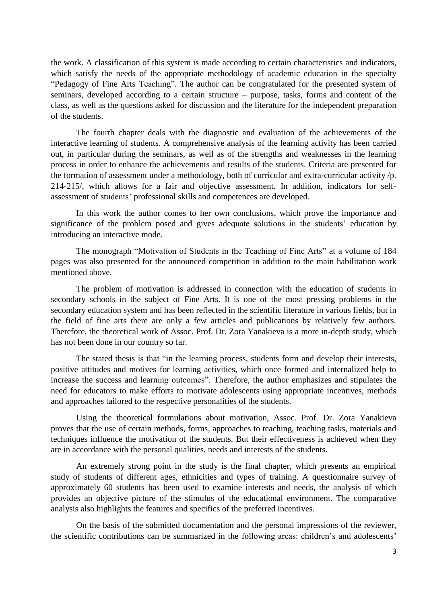the work. A classification of this system is made according to certain characteristics and indicators, which satisfy the needs of the appropriate methodology of academic education in the specialty "Pedagogy of Fine Arts Teaching". The author can be congratulated for the presented system of seminars, developed according to a certain structure – purpose, tasks, forms and content of the class, as well as the questions asked for discussion and the literature for the independent preparation of the students.

The fourth chapter deals with the diagnostic and evaluation of the achievements of the interactive learning of students. A comprehensive analysis of the learning activity has been carried out, in particular during the seminars, as well as of the strengths and weaknesses in the learning process in order to enhance the achievements and results of the students. Criteria are presented for the formation of assessment under a methodology, both of curricular and extra-curricular activity /p. 214-215/, which allows for a fair and objective assessment. In addition, indicators for selfassessment of students' professional skills and competences are developed.

In this work the author comes to her own conclusions, which prove the importance and significance of the problem posed and gives adequate solutions in the students' education by introducing an interactive mode.

The monograph "Motivation of Students in the Teaching of Fine Arts" at a volume of 184 pages was also presented for the announced competition in addition to the main habilitation work mentioned above.

The problem of motivation is addressed in connection with the education of students in secondary schools in the subject of Fine Arts. It is one of the most pressing problems in the secondary education system and has been reflected in the scientific literature in various fields, but in the field of fine arts there are only a few articles and publications by relatively few authors. Therefore, the theoretical work of Assoc. Prof. Dr. Zora Yanakieva is a more in-depth study, which has not been done in our country so far.

The stated thesis is that "in the learning process, students form and develop their interests, positive attitudes and motives for learning activities, which once formed and internalized help to increase the success and learning outcomes". Therefore, the author emphasizes and stipulates the need for educators to make efforts to motivate adolescents using appropriate incentives, methods and approaches tailored to the respective personalities of the students.

Using the theoretical formulations about motivation, Assoc. Prof. Dr. Zora Yanakieva proves that the use of certain methods, forms, approaches to teaching, teaching tasks, materials and techniques influence the motivation of the students. But their effectiveness is achieved when they are in accordance with the personal qualities, needs and interests of the students.

An extremely strong point in the study is the final chapter, which presents an empirical study of students of different ages, ethnicities and types of training. A questionnaire survey of approximately 60 students has been used to examine interests and needs, the analysis of which provides an objective picture of the stimulus of the educational environment. The comparative analysis also highlights the features and specifics of the preferred incentives.

On the basis of the submitted documentation and the personal impressions of the reviewer, the scientific contributions can be summarized in the following areas: children's and adolescents'